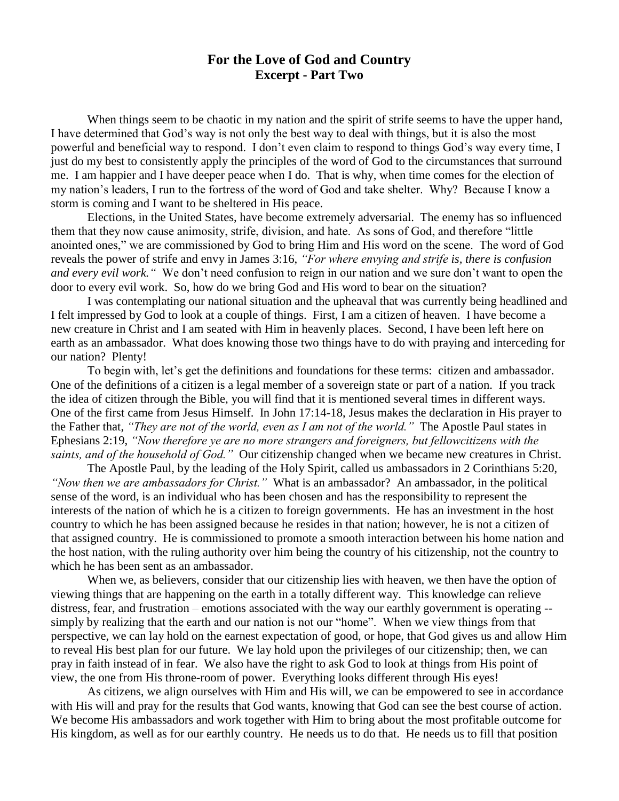## **For the Love of God and Country Excerpt - Part Two**

When things seem to be chaotic in my nation and the spirit of strife seems to have the upper hand, I have determined that God's way is not only the best way to deal with things, but it is also the most powerful and beneficial way to respond. I don't even claim to respond to things God's way every time, I just do my best to consistently apply the principles of the word of God to the circumstances that surround me. I am happier and I have deeper peace when I do. That is why, when time comes for the election of my nation's leaders, I run to the fortress of the word of God and take shelter. Why? Because I know a storm is coming and I want to be sheltered in His peace.

Elections, in the United States, have become extremely adversarial. The enemy has so influenced them that they now cause animosity, strife, division, and hate. As sons of God, and therefore "little anointed ones," we are commissioned by God to bring Him and His word on the scene. The word of God reveals the power of strife and envy in James 3:16, *"For where envying and strife is, there is confusion and every evil work."* We don't need confusion to reign in our nation and we sure don't want to open the door to every evil work. So, how do we bring God and His word to bear on the situation?

I was contemplating our national situation and the upheaval that was currently being headlined and I felt impressed by God to look at a couple of things. First, I am a citizen of heaven. I have become a new creature in Christ and I am seated with Him in heavenly places. Second, I have been left here on earth as an ambassador. What does knowing those two things have to do with praying and interceding for our nation? Plenty!

To begin with, let's get the definitions and foundations for these terms: citizen and ambassador. One of the definitions of a citizen is a legal member of a sovereign state or part of a nation. If you track the idea of citizen through the Bible, you will find that it is mentioned several times in different ways. One of the first came from Jesus Himself. In John 17:14-18, Jesus makes the declaration in His prayer to the Father that, *"They are not of the world, even as I am not of the world."* The Apostle Paul states in Ephesians 2:19, *"Now therefore ye are no more strangers and foreigners, but fellowcitizens with the saints, and of the household of God."* Our citizenship changed when we became new creatures in Christ.

The Apostle Paul, by the leading of the Holy Spirit, called us ambassadors in 2 Corinthians 5:20, *"Now then we are ambassadors for Christ."* What is an ambassador? An ambassador, in the political sense of the word, is an individual who has been chosen and has the responsibility to represent the interests of the nation of which he is a citizen to foreign governments. He has an investment in the host country to which he has been assigned because he resides in that nation; however, he is not a citizen of that assigned country. He is commissioned to promote a smooth interaction between his home nation and the host nation, with the ruling authority over him being the country of his citizenship, not the country to which he has been sent as an ambassador.

When we, as believers, consider that our citizenship lies with heaven, we then have the option of viewing things that are happening on the earth in a totally different way. This knowledge can relieve distress, fear, and frustration – emotions associated with the way our earthly government is operating - simply by realizing that the earth and our nation is not our "home". When we view things from that perspective, we can lay hold on the earnest expectation of good, or hope, that God gives us and allow Him to reveal His best plan for our future. We lay hold upon the privileges of our citizenship; then, we can pray in faith instead of in fear. We also have the right to ask God to look at things from His point of view, the one from His throne-room of power. Everything looks different through His eyes!

As citizens, we align ourselves with Him and His will, we can be empowered to see in accordance with His will and pray for the results that God wants, knowing that God can see the best course of action. We become His ambassadors and work together with Him to bring about the most profitable outcome for His kingdom, as well as for our earthly country. He needs us to do that. He needs us to fill that position